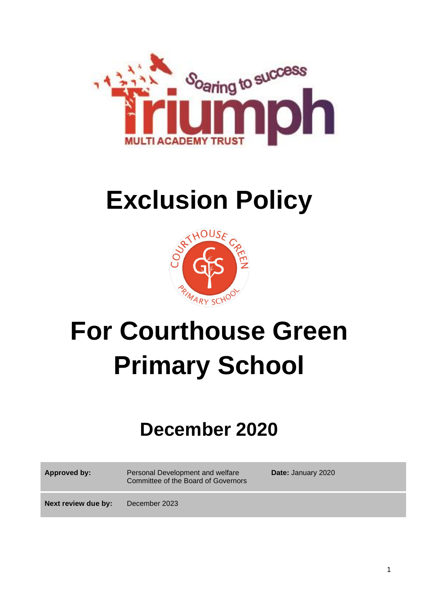

# **Exclusion Policy**



# **For Courthouse Green Primary School**

# **December 2020**

**Approved by:** Personal Development and welfare Committee of the Board of Governors **Date:** January 2020

**Next review due by:** December 2023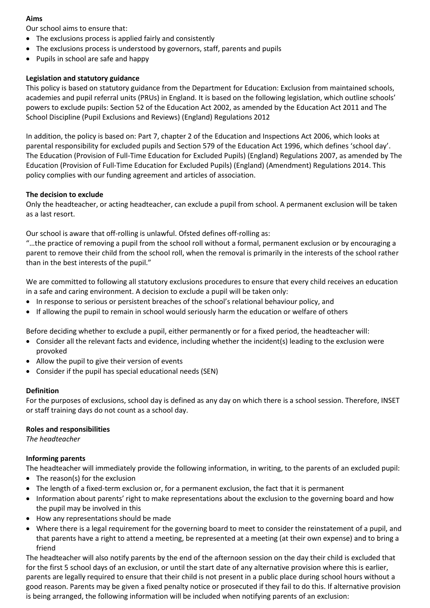## **Aims**

Our school aims to ensure that:

- The exclusions process is applied fairly and consistently
- The exclusions process is understood by governors, staff, parents and pupils
- Pupils in school are safe and happy

# **Legislation and statutory guidance**

This policy is based on statutory guidance from the Department for Education: Exclusion from maintained schools, academies and pupil referral units (PRUs) in England. It is based on the following legislation, which outline schools' powers to exclude pupils: Section 52 of the Education Act 2002, as amended by the Education Act 2011 and The School Discipline (Pupil Exclusions and Reviews) (England) Regulations 2012

In addition, the policy is based on: Part 7, chapter 2 of the Education and Inspections Act 2006, which looks at parental responsibility for excluded pupils and Section 579 of the Education Act 1996, which defines 'school day'. The Education (Provision of Full-Time Education for Excluded Pupils) (England) Regulations 2007, as amended by The Education (Provision of Full-Time Education for Excluded Pupils) (England) (Amendment) Regulations 2014. This policy complies with our funding agreement and articles of association.

## **The decision to exclude**

Only the headteacher, or acting headteacher, can exclude a pupil from school. A permanent exclusion will be taken as a last resort.

Our school is aware that off-rolling is unlawful. Ofsted defines off-rolling as:

"…the practice of removing a pupil from the school roll without a formal, permanent exclusion or by encouraging a parent to remove their child from the school roll, when the removal is primarily in the interests of the school rather than in the best interests of the pupil."

We are committed to following all statutory exclusions procedures to ensure that every child receives an education in a safe and caring environment. A decision to exclude a pupil will be taken only:

- In response to serious or persistent breaches of the school's relational behaviour policy, and
- If allowing the pupil to remain in school would seriously harm the education or welfare of others

Before deciding whether to exclude a pupil, either permanently or for a fixed period, the headteacher will:

- Consider all the relevant facts and evidence, including whether the incident(s) leading to the exclusion were provoked
- Allow the pupil to give their version of events
- Consider if the pupil has special educational needs (SEN)

#### **Definition**

For the purposes of exclusions, school day is defined as any day on which there is a school session. Therefore, INSET or staff training days do not count as a school day.

#### **Roles and responsibilities**

*The headteacher* 

# **Informing parents**

The headteacher will immediately provide the following information, in writing, to the parents of an excluded pupil:

- The reason(s) for the exclusion
- The length of a fixed-term exclusion or, for a permanent exclusion, the fact that it is permanent
- Information about parents' right to make representations about the exclusion to the governing board and how the pupil may be involved in this
- How any representations should be made
- Where there is a legal requirement for the governing board to meet to consider the reinstatement of a pupil, and that parents have a right to attend a meeting, be represented at a meeting (at their own expense) and to bring a friend

The headteacher will also notify parents by the end of the afternoon session on the day their child is excluded that for the first 5 school days of an exclusion, or until the start date of any alternative provision where this is earlier, parents are legally required to ensure that their child is not present in a public place during school hours without a good reason. Parents may be given a fixed penalty notice or prosecuted if they fail to do this. If alternative provision is being arranged, the following information will be included when notifying parents of an exclusion: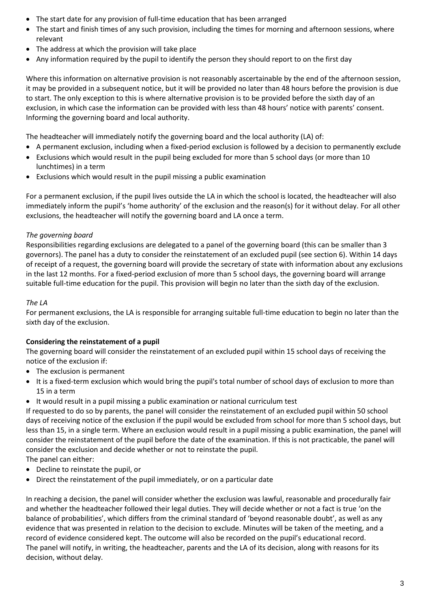- The start date for any provision of full-time education that has been arranged
- The start and finish times of any such provision, including the times for morning and afternoon sessions, where relevant
- The address at which the provision will take place
- Any information required by the pupil to identify the person they should report to on the first day

Where this information on alternative provision is not reasonably ascertainable by the end of the afternoon session, it may be provided in a subsequent notice, but it will be provided no later than 48 hours before the provision is due to start. The only exception to this is where alternative provision is to be provided before the sixth day of an exclusion, in which case the information can be provided with less than 48 hours' notice with parents' consent. Informing the governing board and local authority.

The headteacher will immediately notify the governing board and the local authority (LA) of:

- A permanent exclusion, including when a fixed-period exclusion is followed by a decision to permanently exclude
- Exclusions which would result in the pupil being excluded for more than 5 school days (or more than 10 lunchtimes) in a term
- Exclusions which would result in the pupil missing a public examination

For a permanent exclusion, if the pupil lives outside the LA in which the school is located, the headteacher will also immediately inform the pupil's 'home authority' of the exclusion and the reason(s) for it without delay. For all other exclusions, the headteacher will notify the governing board and LA once a term.

## *The governing board*

Responsibilities regarding exclusions are delegated to a panel of the governing board (this can be smaller than 3 governors). The panel has a duty to consider the reinstatement of an excluded pupil (see section 6). Within 14 days of receipt of a request, the governing board will provide the secretary of state with information about any exclusions in the last 12 months. For a fixed-period exclusion of more than 5 school days, the governing board will arrange suitable full-time education for the pupil. This provision will begin no later than the sixth day of the exclusion.

#### *The LA*

For permanent exclusions, the LA is responsible for arranging suitable full-time education to begin no later than the sixth day of the exclusion.

# **Considering the reinstatement of a pupil**

The governing board will consider the reinstatement of an excluded pupil within 15 school days of receiving the notice of the exclusion if:

- The exclusion is permanent
- It is a fixed-term exclusion which would bring the pupil's total number of school days of exclusion to more than 15 in a term
- It would result in a pupil missing a public examination or national curriculum test

If requested to do so by parents, the panel will consider the reinstatement of an excluded pupil within 50 school days of receiving notice of the exclusion if the pupil would be excluded from school for more than 5 school days, but less than 15, in a single term. Where an exclusion would result in a pupil missing a public examination, the panel will consider the reinstatement of the pupil before the date of the examination. If this is not practicable, the panel will consider the exclusion and decide whether or not to reinstate the pupil.

The panel can either:

- Decline to reinstate the pupil, or
- Direct the reinstatement of the pupil immediately, or on a particular date

In reaching a decision, the panel will consider whether the exclusion was lawful, reasonable and procedurally fair and whether the headteacher followed their legal duties. They will decide whether or not a fact is true 'on the balance of probabilities', which differs from the criminal standard of 'beyond reasonable doubt', as well as any evidence that was presented in relation to the decision to exclude. Minutes will be taken of the meeting, and a record of evidence considered kept. The outcome will also be recorded on the pupil's educational record. The panel will notify, in writing, the headteacher, parents and the LA of its decision, along with reasons for its decision, without delay.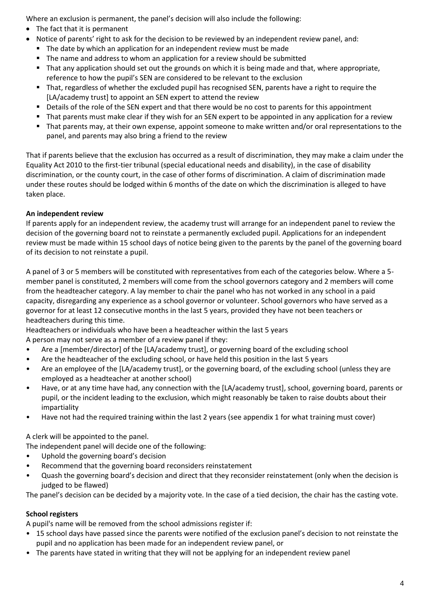Where an exclusion is permanent, the panel's decision will also include the following:

- The fact that it is permanent
- Notice of parents' right to ask for the decision to be reviewed by an independent review panel, and:
	- The date by which an application for an independent review must be made
	- The name and address to whom an application for a review should be submitted
	- That any application should set out the grounds on which it is being made and that, where appropriate, reference to how the pupil's SEN are considered to be relevant to the exclusion
	- That, regardless of whether the excluded pupil has recognised SEN, parents have a right to require the [LA/academy trust] to appoint an SEN expert to attend the review
	- Details of the role of the SEN expert and that there would be no cost to parents for this appointment
	- That parents must make clear if they wish for an SEN expert to be appointed in any application for a review
	- That parents may, at their own expense, appoint someone to make written and/or oral representations to the panel, and parents may also bring a friend to the review

That if parents believe that the exclusion has occurred as a result of discrimination, they may make a claim under the Equality Act 2010 to the first-tier tribunal (special educational needs and disability), in the case of disability discrimination, or the county court, in the case of other forms of discrimination. A claim of discrimination made under these routes should be lodged within 6 months of the date on which the discrimination is alleged to have taken place.

# **An independent review**

If parents apply for an independent review, the academy trust will arrange for an independent panel to review the decision of the governing board not to reinstate a permanently excluded pupil. Applications for an independent review must be made within 15 school days of notice being given to the parents by the panel of the governing board of its decision to not reinstate a pupil.

A panel of 3 or 5 members will be constituted with representatives from each of the categories below. Where a 5 member panel is constituted, 2 members will come from the school governors category and 2 members will come from the headteacher category. A lay member to chair the panel who has not worked in any school in a paid capacity, disregarding any experience as a school governor or volunteer. School governors who have served as a governor for at least 12 consecutive months in the last 5 years, provided they have not been teachers or headteachers during this time.

Headteachers or individuals who have been a headteacher within the last 5 years A person may not serve as a member of a review panel if they:

- Are a [member/director] of the [LA/academy trust], or governing board of the excluding school
- Are the headteacher of the excluding school, or have held this position in the last 5 years
- Are an employee of the [LA/academy trust], or the governing board, of the excluding school (unless they are employed as a headteacher at another school)
- Have, or at any time have had, any connection with the [LA/academy trust], school, governing board, parents or pupil, or the incident leading to the exclusion, which might reasonably be taken to raise doubts about their impartiality
- Have not had the required training within the last 2 years (see appendix 1 for what training must cover)

A clerk will be appointed to the panel.

The independent panel will decide one of the following:

- Uphold the governing board's decision
- Recommend that the governing board reconsiders reinstatement
- Quash the governing board's decision and direct that they reconsider reinstatement (only when the decision is judged to be flawed)

The panel's decision can be decided by a majority vote. In the case of a tied decision, the chair has the casting vote.

# **School registers**

A pupil's name will be removed from the school admissions register if:

- 15 school days have passed since the parents were notified of the exclusion panel's decision to not reinstate the pupil and no application has been made for an independent review panel, or
- The parents have stated in writing that they will not be applying for an independent review panel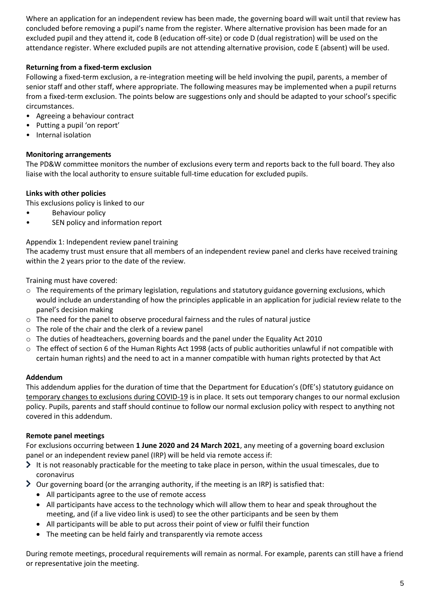Where an application for an independent review has been made, the governing board will wait until that review has concluded before removing a pupil's name from the register. Where alternative provision has been made for an excluded pupil and they attend it, code B (education off-site) or code D (dual registration) will be used on the attendance register. Where excluded pupils are not attending alternative provision, code E (absent) will be used.

# **Returning from a fixed-term exclusion**

Following a fixed-term exclusion, a re-integration meeting will be held involving the pupil, parents, a member of senior staff and other staff, where appropriate. The following measures may be implemented when a pupil returns from a fixed-term exclusion. The points below are suggestions only and should be adapted to your school's specific circumstances.

- Agreeing a behaviour contract
- Putting a pupil 'on report'
- Internal isolation

# **Monitoring arrangements**

The PD&W committee monitors the number of exclusions every term and reports back to the full board. They also liaise with the local authority to ensure suitable full-time education for excluded pupils.

## **Links with other policies**

This exclusions policy is linked to our

- Behaviour policy
- SEN policy and information report

# Appendix 1: Independent review panel training

The academy trust must ensure that all members of an independent review panel and clerks have received training within the 2 years prior to the date of the review.

Training must have covered:

- o The requirements of the primary legislation, regulations and statutory guidance governing exclusions, which would include an understanding of how the principles applicable in an application for judicial review relate to the panel's decision making
- $\circ$  The need for the panel to observe procedural fairness and the rules of natural justice
- o The role of the chair and the clerk of a review panel
- o The duties of headteachers, governing boards and the panel under the Equality Act 2010
- o The effect of section 6 of the Human Rights Act 1998 (acts of public authorities unlawful if not compatible with certain human rights) and the need to act in a manner compatible with human rights protected by that Act

#### **Addendum**

This addendum applies for the duration of time that the Department for Education's (DfE's) statutory guidance on [temporary changes to exclusions during COVID-19](https://www.gov.uk/government/publications/school-exclusion/changes-to-the-school-exclusion-process-during-the-coronavirus-outbreak) is in place. It sets out temporary changes to our normal exclusion policy. Pupils, parents and staff should continue to follow our normal exclusion policy with respect to anything not covered in this addendum.

#### **Remote panel meetings**

For exclusions occurring between **1 June 2020 and 24 March 2021**, any meeting of a governing board exclusion panel or an independent review panel (IRP) will be held via remote access if:

- $\triangleright$  It is not reasonably practicable for the meeting to take place in person, within the usual timescales, due to coronavirus
- Our governing board (or the arranging authority, if the meeting is an IRP) is satisfied that:
	- All participants agree to the use of remote access
	- All participants have access to the technology which will allow them to hear and speak throughout the meeting, and (if a live video link is used) to see the other participants and be seen by them
	- All participants will be able to put across their point of view or fulfil their function
	- The meeting can be held fairly and transparently via remote access

During remote meetings, procedural requirements will remain as normal. For example, parents can still have a friend or representative join the meeting.